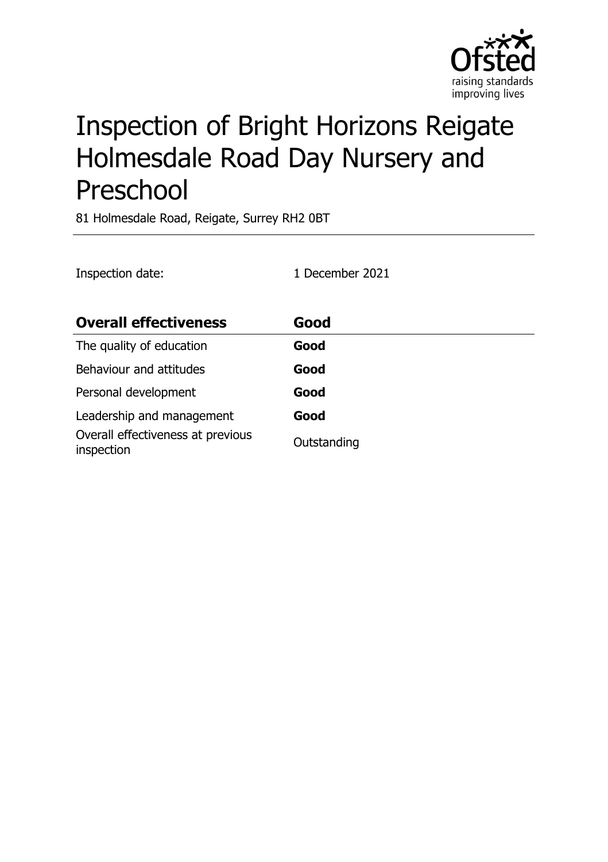

# Inspection of Bright Horizons Reigate Holmesdale Road Day Nursery and Preschool

81 Holmesdale Road, Reigate, Surrey RH2 0BT

| Inspection date:                                | 1 December 2021 |
|-------------------------------------------------|-----------------|
| <b>Overall effectiveness</b>                    | Good            |
| The quality of education                        | Good            |
| Behaviour and attitudes                         | Good            |
| Personal development                            | Good            |
| Leadership and management                       | Good            |
| Overall effectiveness at previous<br>inspection | Outstanding     |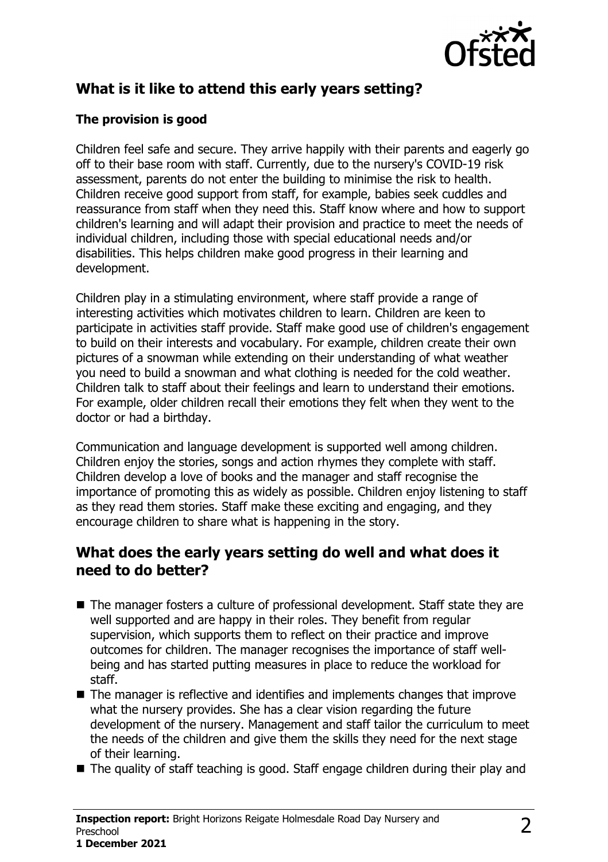

# **What is it like to attend this early years setting?**

#### **The provision is good**

Children feel safe and secure. They arrive happily with their parents and eagerly go off to their base room with staff. Currently, due to the nursery's COVID-19 risk assessment, parents do not enter the building to minimise the risk to health. Children receive good support from staff, for example, babies seek cuddles and reassurance from staff when they need this. Staff know where and how to support children's learning and will adapt their provision and practice to meet the needs of individual children, including those with special educational needs and/or disabilities. This helps children make good progress in their learning and development.

Children play in a stimulating environment, where staff provide a range of interesting activities which motivates children to learn. Children are keen to participate in activities staff provide. Staff make good use of children's engagement to build on their interests and vocabulary. For example, children create their own pictures of a snowman while extending on their understanding of what weather you need to build a snowman and what clothing is needed for the cold weather. Children talk to staff about their feelings and learn to understand their emotions. For example, older children recall their emotions they felt when they went to the doctor or had a birthday.

Communication and language development is supported well among children. Children enjoy the stories, songs and action rhymes they complete with staff. Children develop a love of books and the manager and staff recognise the importance of promoting this as widely as possible. Children enjoy listening to staff as they read them stories. Staff make these exciting and engaging, and they encourage children to share what is happening in the story.

#### **What does the early years setting do well and what does it need to do better?**

- $\blacksquare$  The manager fosters a culture of professional development. Staff state they are well supported and are happy in their roles. They benefit from regular supervision, which supports them to reflect on their practice and improve outcomes for children. The manager recognises the importance of staff wellbeing and has started putting measures in place to reduce the workload for staff.
- $\blacksquare$  The manager is reflective and identifies and implements changes that improve what the nursery provides. She has a clear vision regarding the future development of the nursery. Management and staff tailor the curriculum to meet the needs of the children and give them the skills they need for the next stage of their learning.
- $\blacksquare$  The quality of staff teaching is good. Staff engage children during their play and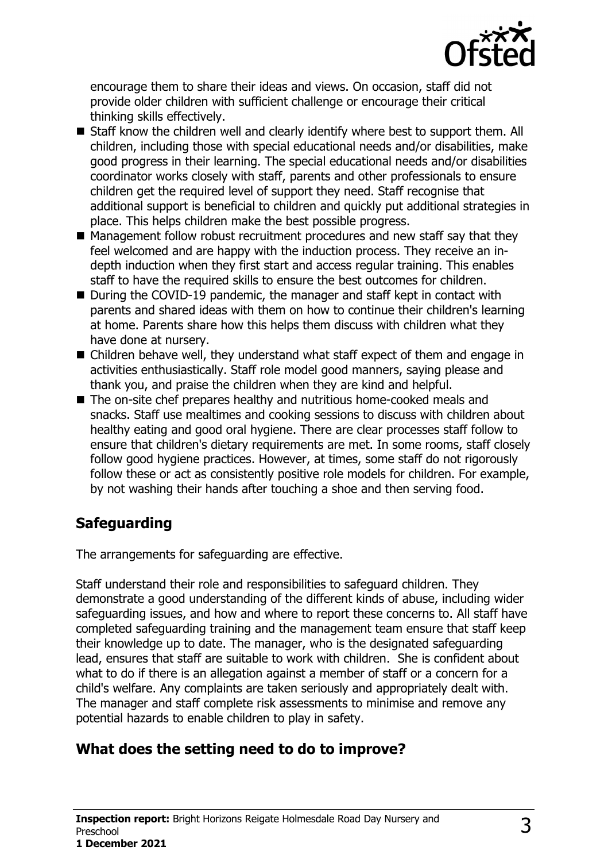

encourage them to share their ideas and views. On occasion, staff did not provide older children with sufficient challenge or encourage their critical thinking skills effectively.

- $\blacksquare$  Staff know the children well and clearly identify where best to support them. All children, including those with special educational needs and/or disabilities, make good progress in their learning. The special educational needs and/or disabilities coordinator works closely with staff, parents and other professionals to ensure children get the required level of support they need. Staff recognise that additional support is beneficial to children and quickly put additional strategies in place. This helps children make the best possible progress.
- $\blacksquare$  Management follow robust recruitment procedures and new staff say that they feel welcomed and are happy with the induction process. They receive an indepth induction when they first start and access regular training. This enables staff to have the required skills to ensure the best outcomes for children.
- During the COVID-19 pandemic, the manager and staff kept in contact with parents and shared ideas with them on how to continue their children's learning at home. Parents share how this helps them discuss with children what they have done at nursery.
- $\blacksquare$  Children behave well, they understand what staff expect of them and engage in activities enthusiastically. Staff role model good manners, saying please and thank you, and praise the children when they are kind and helpful.
- The on-site chef prepares healthy and nutritious home-cooked meals and snacks. Staff use mealtimes and cooking sessions to discuss with children about healthy eating and good oral hygiene. There are clear processes staff follow to ensure that children's dietary requirements are met. In some rooms, staff closely follow good hygiene practices. However, at times, some staff do not rigorously follow these or act as consistently positive role models for children. For example, by not washing their hands after touching a shoe and then serving food.

# **Safeguarding**

The arrangements for safeguarding are effective.

Staff understand their role and responsibilities to safeguard children. They demonstrate a good understanding of the different kinds of abuse, including wider safeguarding issues, and how and where to report these concerns to. All staff have completed safeguarding training and the management team ensure that staff keep their knowledge up to date. The manager, who is the designated safeguarding lead, ensures that staff are suitable to work with children. She is confident about what to do if there is an allegation against a member of staff or a concern for a child's welfare. Any complaints are taken seriously and appropriately dealt with. The manager and staff complete risk assessments to minimise and remove any potential hazards to enable children to play in safety.

# **What does the setting need to do to improve?**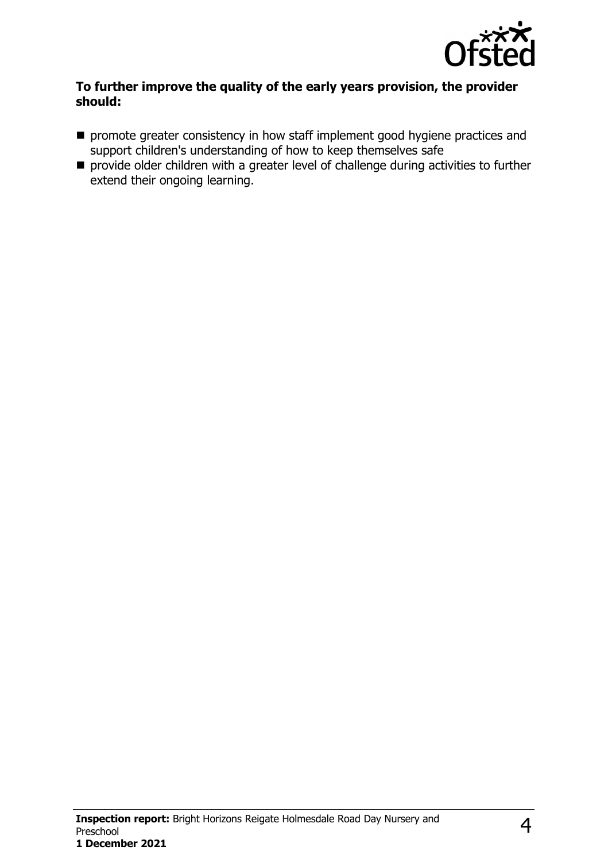

#### **To further improve the quality of the early years provision, the provider should:**

- $\blacksquare$  promote greater consistency in how staff implement good hygiene practices and support children's understanding of how to keep themselves safe
- $\blacksquare$  provide older children with a greater level of challenge during activities to further extend their ongoing learning.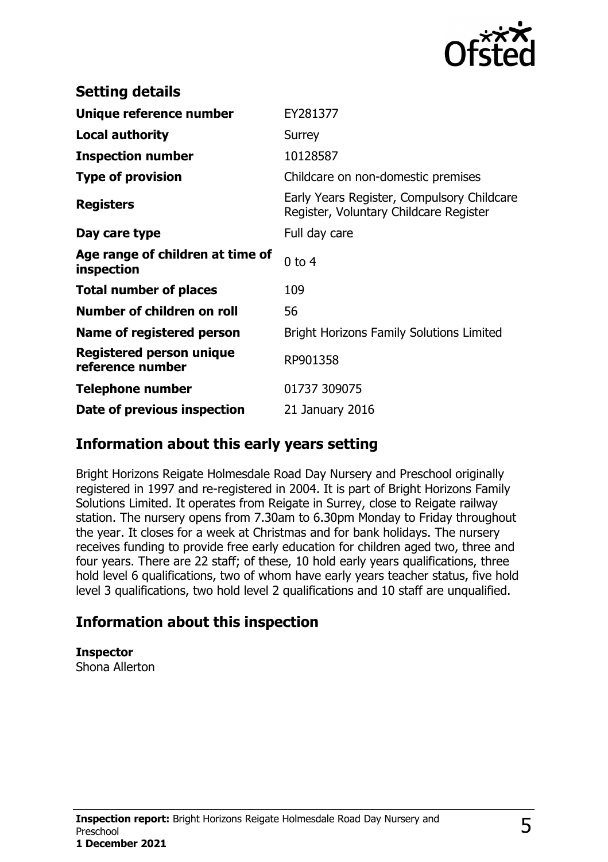

| <b>Setting details</b>                              |                                                                                      |
|-----------------------------------------------------|--------------------------------------------------------------------------------------|
| Unique reference number                             | EY281377                                                                             |
| <b>Local authority</b>                              | Surrey                                                                               |
| <b>Inspection number</b>                            | 10128587                                                                             |
| <b>Type of provision</b>                            | Childcare on non-domestic premises                                                   |
| <b>Registers</b>                                    | Early Years Register, Compulsory Childcare<br>Register, Voluntary Childcare Register |
| Day care type                                       | Full day care                                                                        |
| Age range of children at time of<br>inspection      | $0$ to 4                                                                             |
| <b>Total number of places</b>                       | 109                                                                                  |
| Number of children on roll                          | 56                                                                                   |
| Name of registered person                           | <b>Bright Horizons Family Solutions Limited</b>                                      |
| <b>Registered person unique</b><br>reference number | RP901358                                                                             |
| <b>Telephone number</b>                             | 01737 309075                                                                         |
| Date of previous inspection                         | 21 January 2016                                                                      |

### **Information about this early years setting**

Bright Horizons Reigate Holmesdale Road Day Nursery and Preschool originally registered in 1997 and re-registered in 2004. It is part of Bright Horizons Family Solutions Limited. It operates from Reigate in Surrey, close to Reigate railway station. The nursery opens from 7.30am to 6.30pm Monday to Friday throughout the year. It closes for a week at Christmas and for bank holidays. The nursery receives funding to provide free early education for children aged two, three and four years. There are 22 staff; of these, 10 hold early years qualifications, three hold level 6 qualifications, two of whom have early years teacher status, five hold level 3 qualifications, two hold level 2 qualifications and 10 staff are unqualified.

## **Information about this inspection**

**Inspector**

Shona Allerton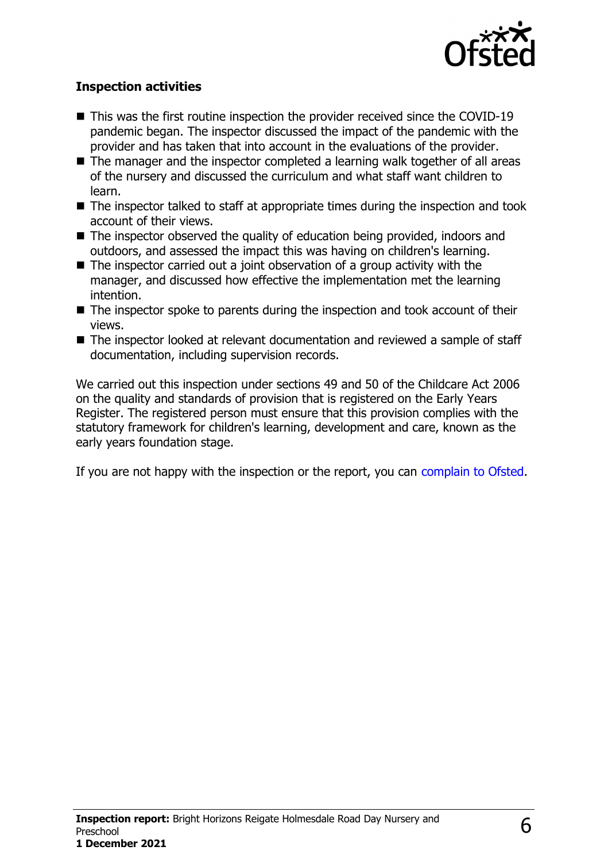

#### **Inspection activities**

- $\blacksquare$  This was the first routine inspection the provider received since the COVID-19 pandemic began. The inspector discussed the impact of the pandemic with the provider and has taken that into account in the evaluations of the provider.
- $\blacksquare$  The manager and the inspector completed a learning walk together of all areas of the nursery and discussed the curriculum and what staff want children to learn.
- $\blacksquare$  The inspector talked to staff at appropriate times during the inspection and took account of their views.
- The inspector observed the quality of education being provided, indoors and outdoors, and assessed the impact this was having on children's learning.
- $\blacksquare$  The inspector carried out a joint observation of a group activity with the manager, and discussed how effective the implementation met the learning intention.
- $\blacksquare$  The inspector spoke to parents during the inspection and took account of their views.
- The inspector looked at relevant documentation and reviewed a sample of staff documentation, including supervision records.

We carried out this inspection under sections 49 and 50 of the Childcare Act 2006 on the quality and standards of provision that is registered on the Early Years Register. The registered person must ensure that this provision complies with the statutory framework for children's learning, development and care, known as the early years foundation stage.

If you are not happy with the inspection or the report, you can [complain to Ofsted](http://www.gov.uk/complain-ofsted-report).